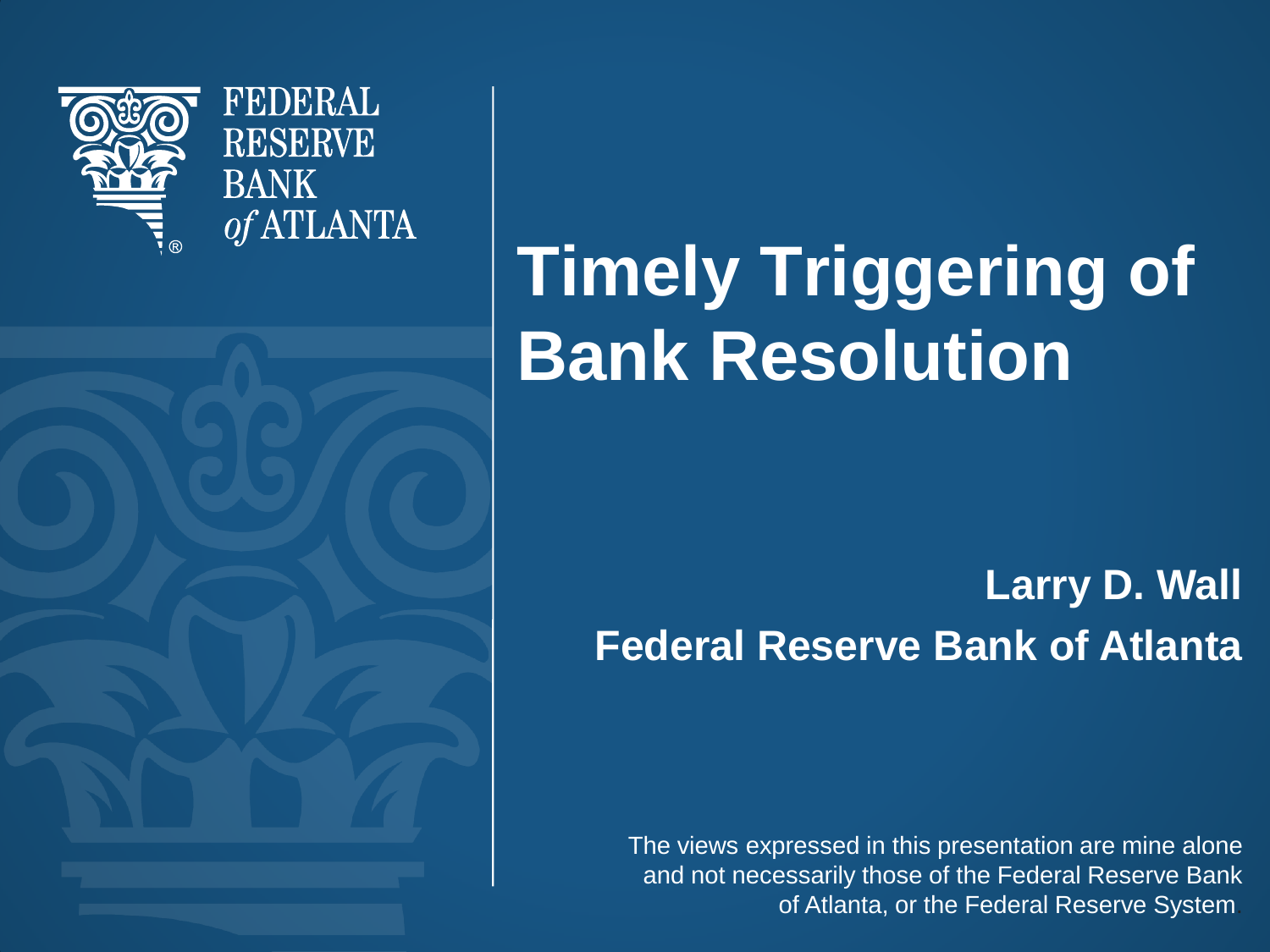

**FEDERAL RESERVE BANK** of ATLANTA

# **Timely Triggering of Bank Resolution**

#### **Larry D. Wall Federal Reserve Bank of Atlanta**

The views expressed in this presentation are mine alone and not necessarily those of the Federal Reserve Bank of Atlanta, or the Federal Reserve System.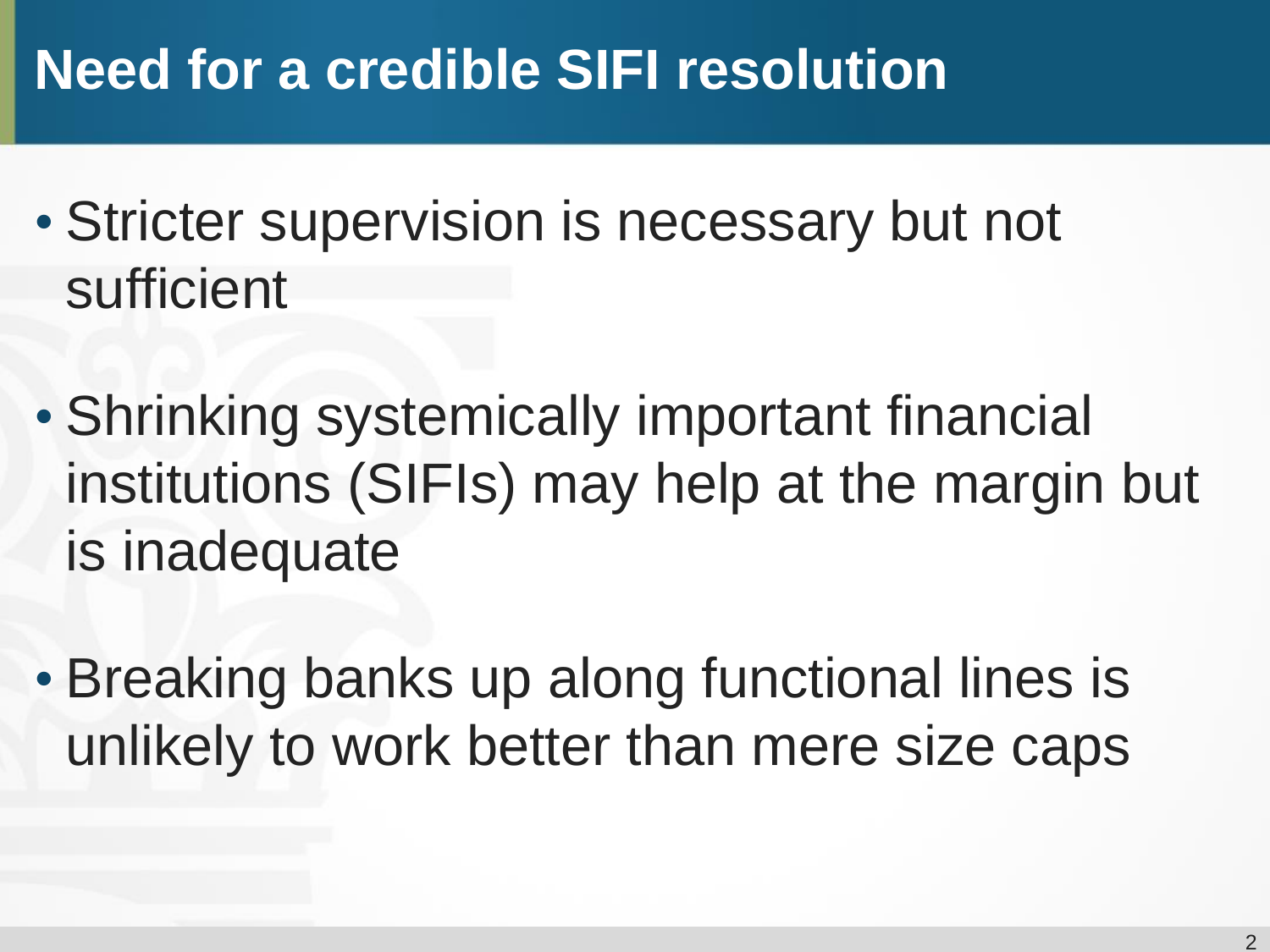### **Need for a credible SIFI resolution**

- Stricter supervision is necessary but not sufficient
- Shrinking systemically important financial institutions (SIFIs) may help at the margin but is inadequate
- Breaking banks up along functional lines is unlikely to work better than mere size caps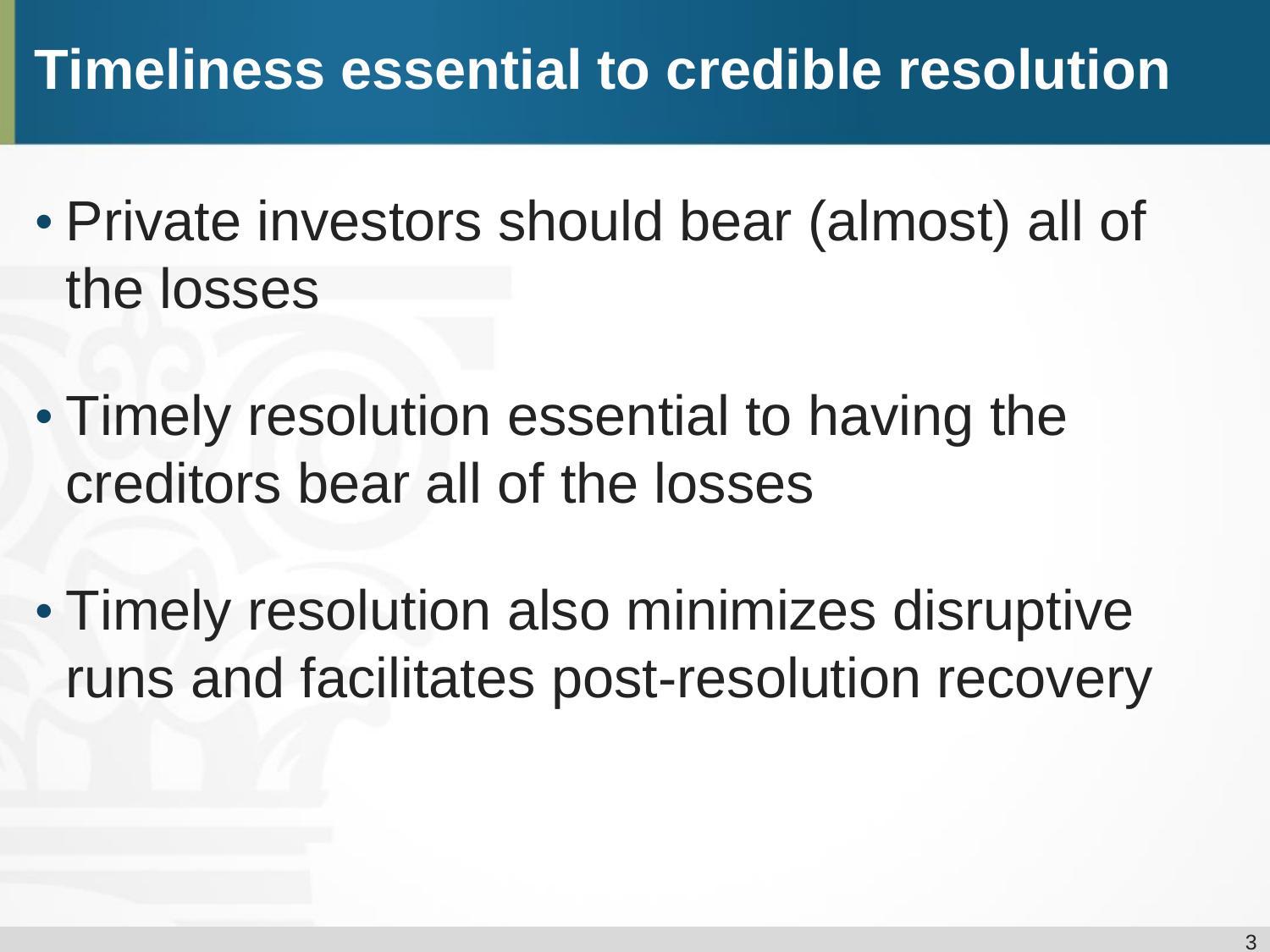### **Timeliness essential to credible resolution**

- Private investors should bear (almost) all of the losses
- Timely resolution essential to having the creditors bear all of the losses
- Timely resolution also minimizes disruptive runs and facilitates post-resolution recovery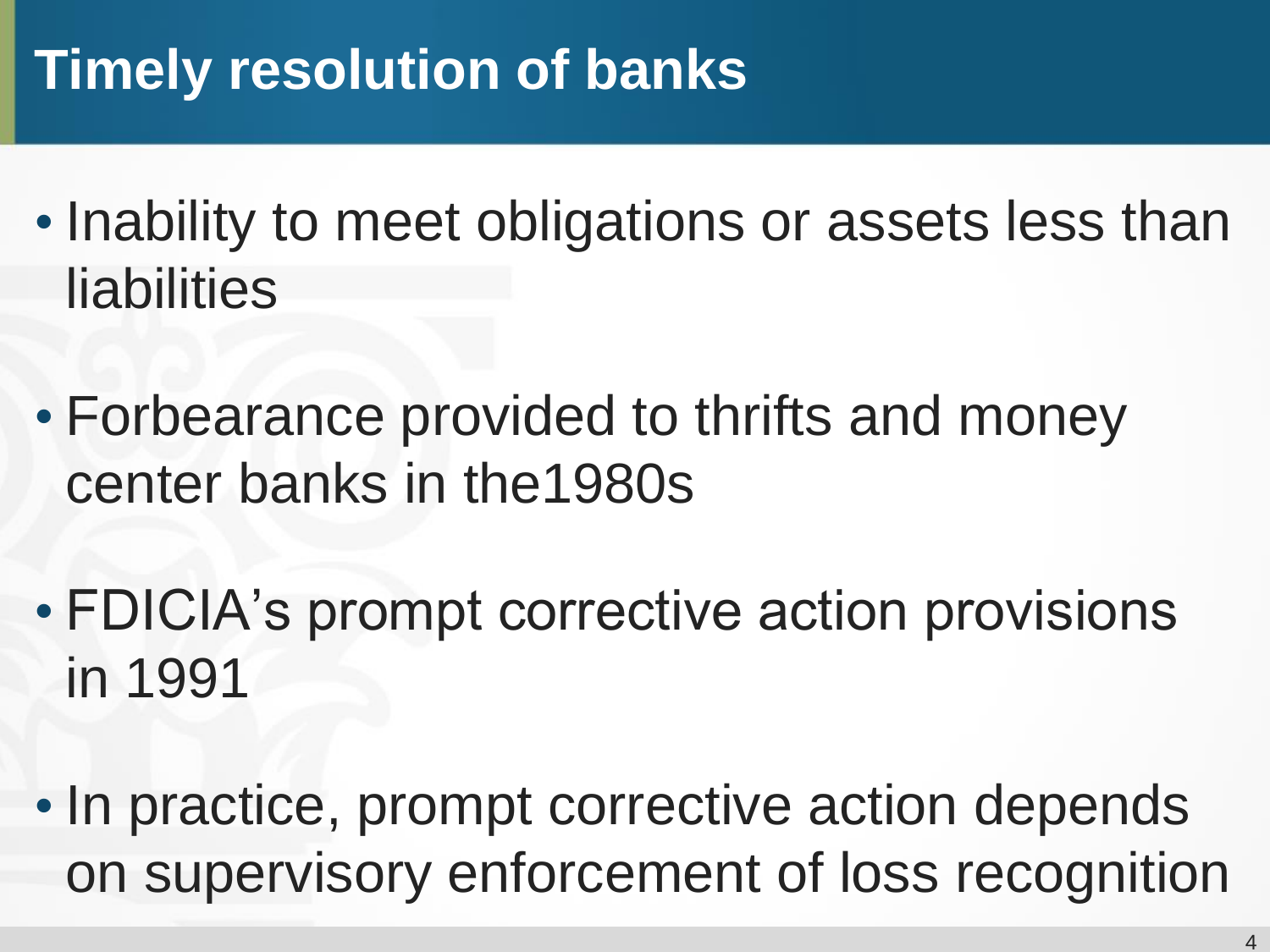## **Timely resolution of banks**

- Inability to meet obligations or assets less than liabilities
- Forbearance provided to thrifts and money center banks in the1980s
- FDICIA's prompt corrective action provisions in 1991
- In practice, prompt corrective action depends on supervisory enforcement of loss recognition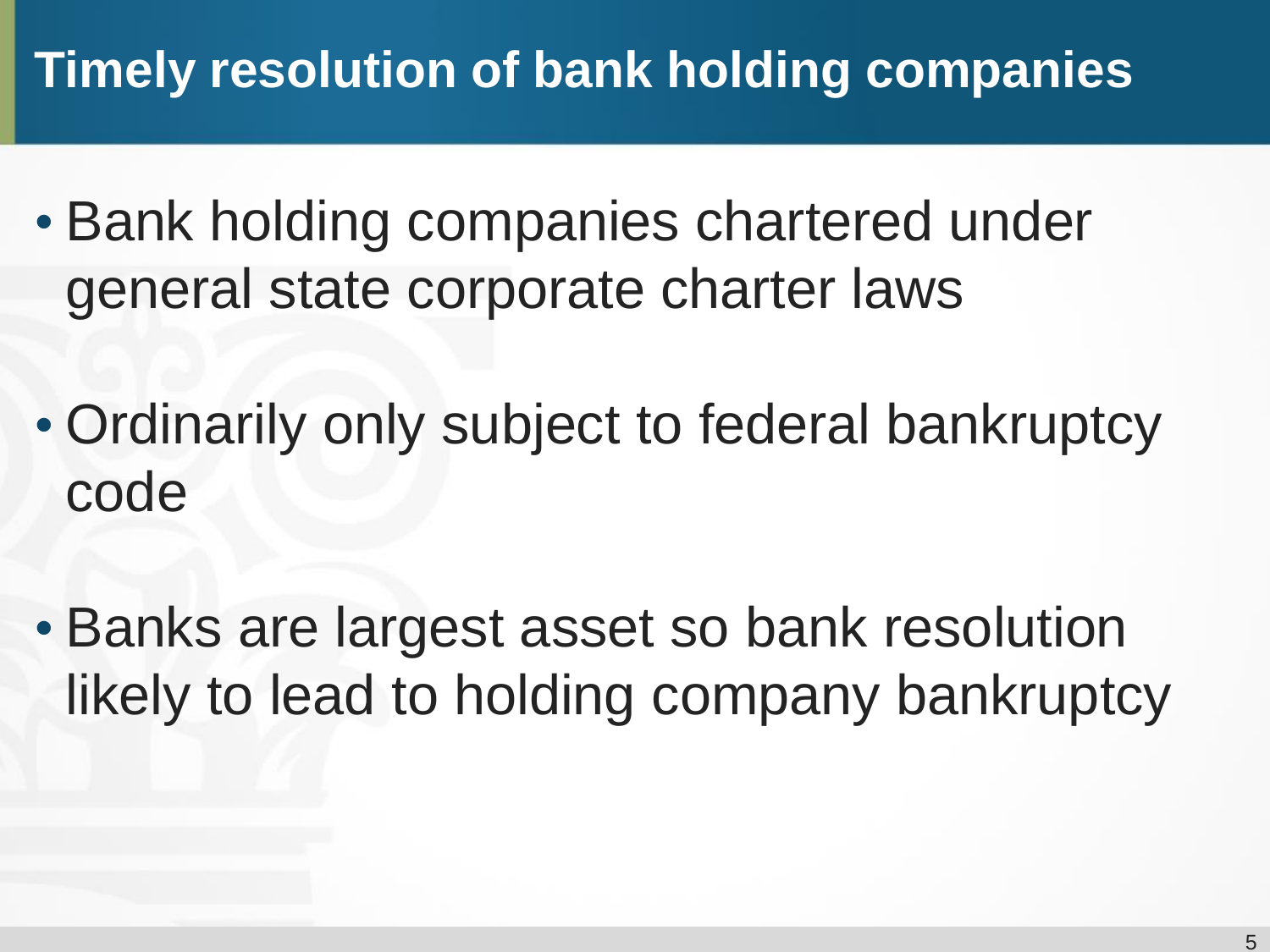#### **Timely resolution of bank holding companies**

- Bank holding companies chartered under general state corporate charter laws
- Ordinarily only subject to federal bankruptcy code
- Banks are largest asset so bank resolution likely to lead to holding company bankruptcy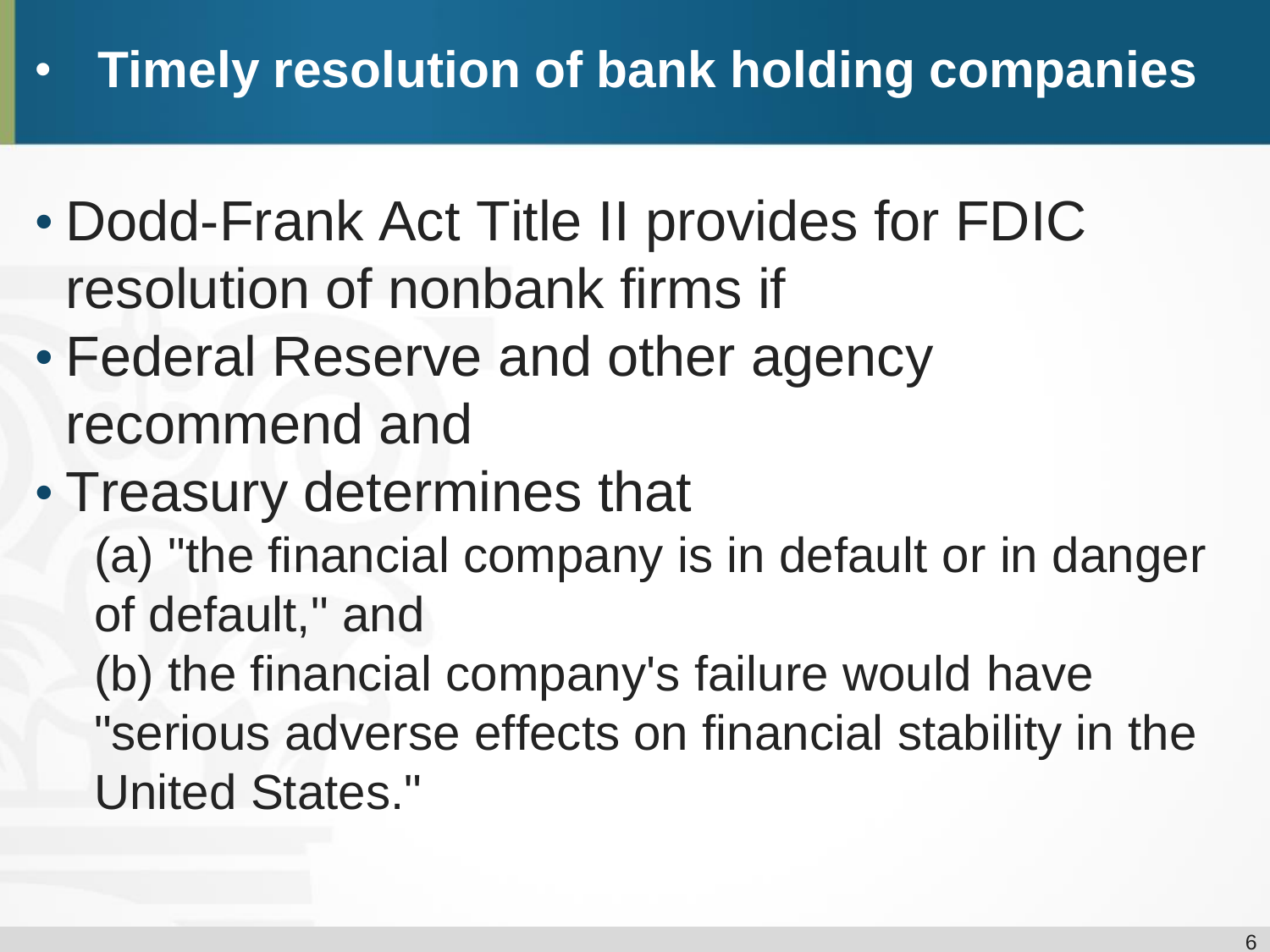#### • **Timely resolution of bank holding companies**

- Dodd-Frank Act Title II provides for FDIC resolution of nonbank firms if
- Federal Reserve and other agency recommend and
- Treasury determines that (a) "the financial company is in default or in danger of default," and (b) the financial company's failure would have "serious adverse effects on financial stability in the United States."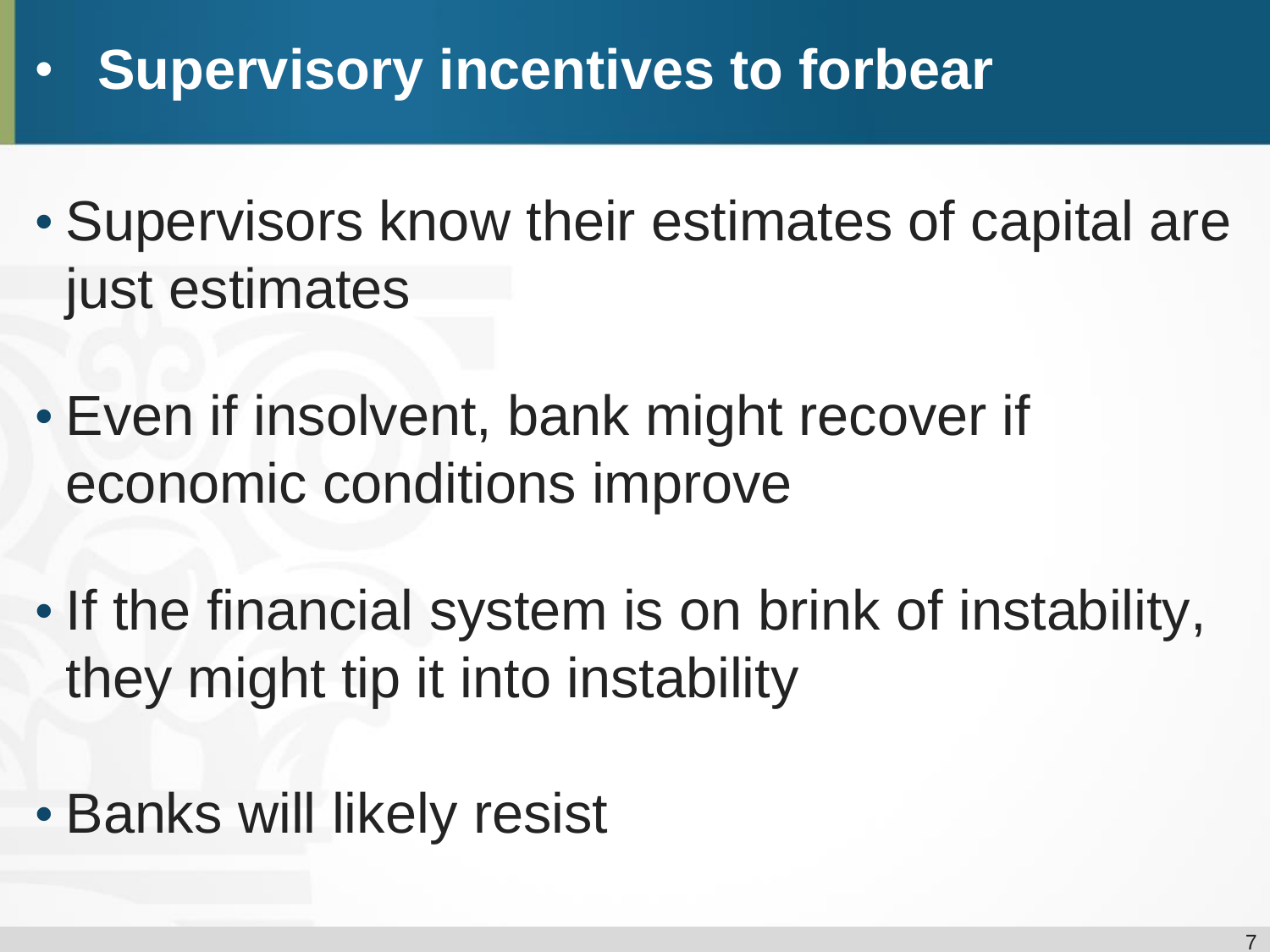### • **Supervisory incentives to forbear**

- Supervisors know their estimates of capital are just estimates
- Even if insolvent, bank might recover if economic conditions improve
- If the financial system is on brink of instability, they might tip it into instability
- Banks will likely resist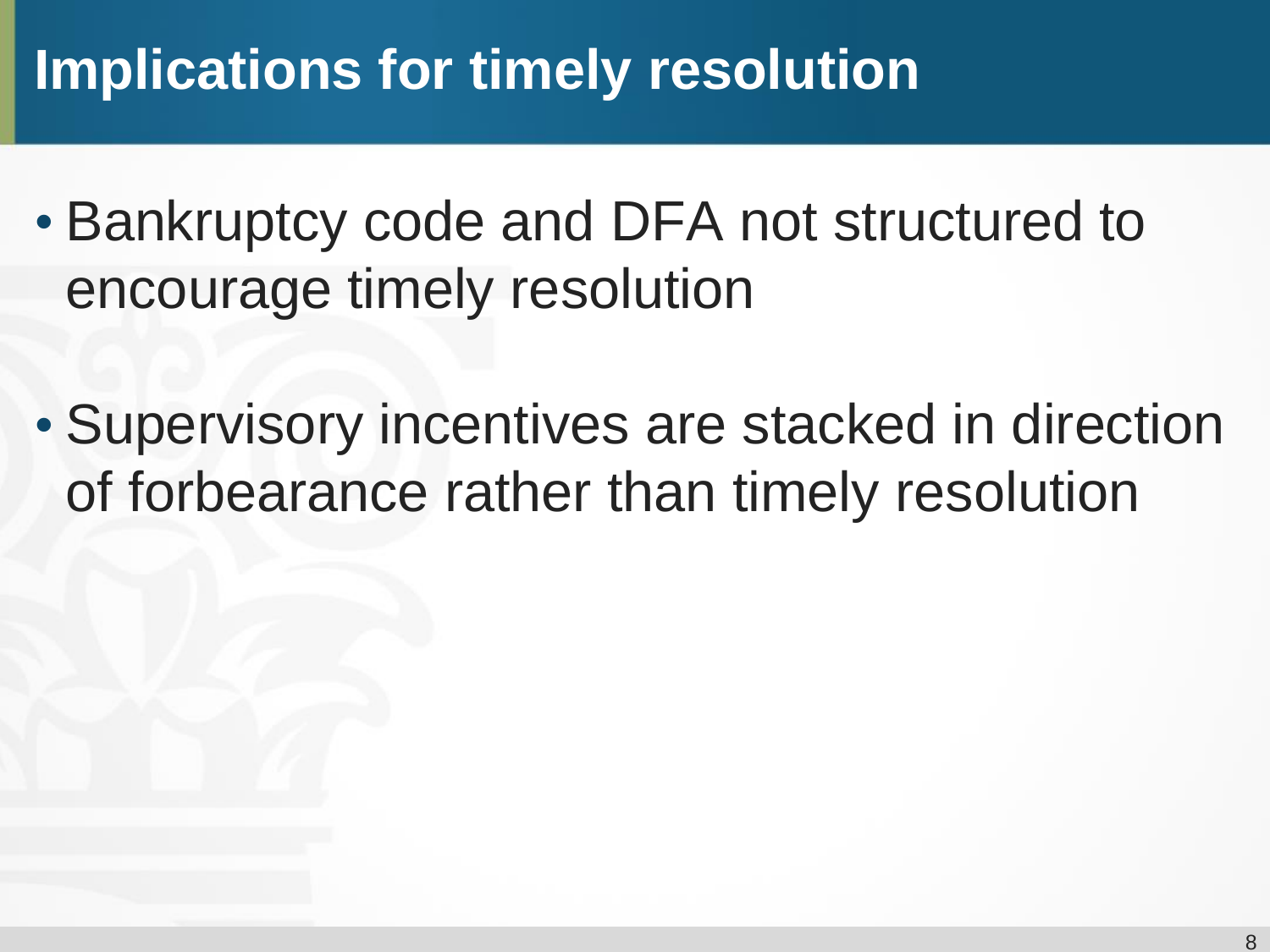### **Implications for timely resolution**

- Bankruptcy code and DFA not structured to encourage timely resolution
- Supervisory incentives are stacked in direction of forbearance rather than timely resolution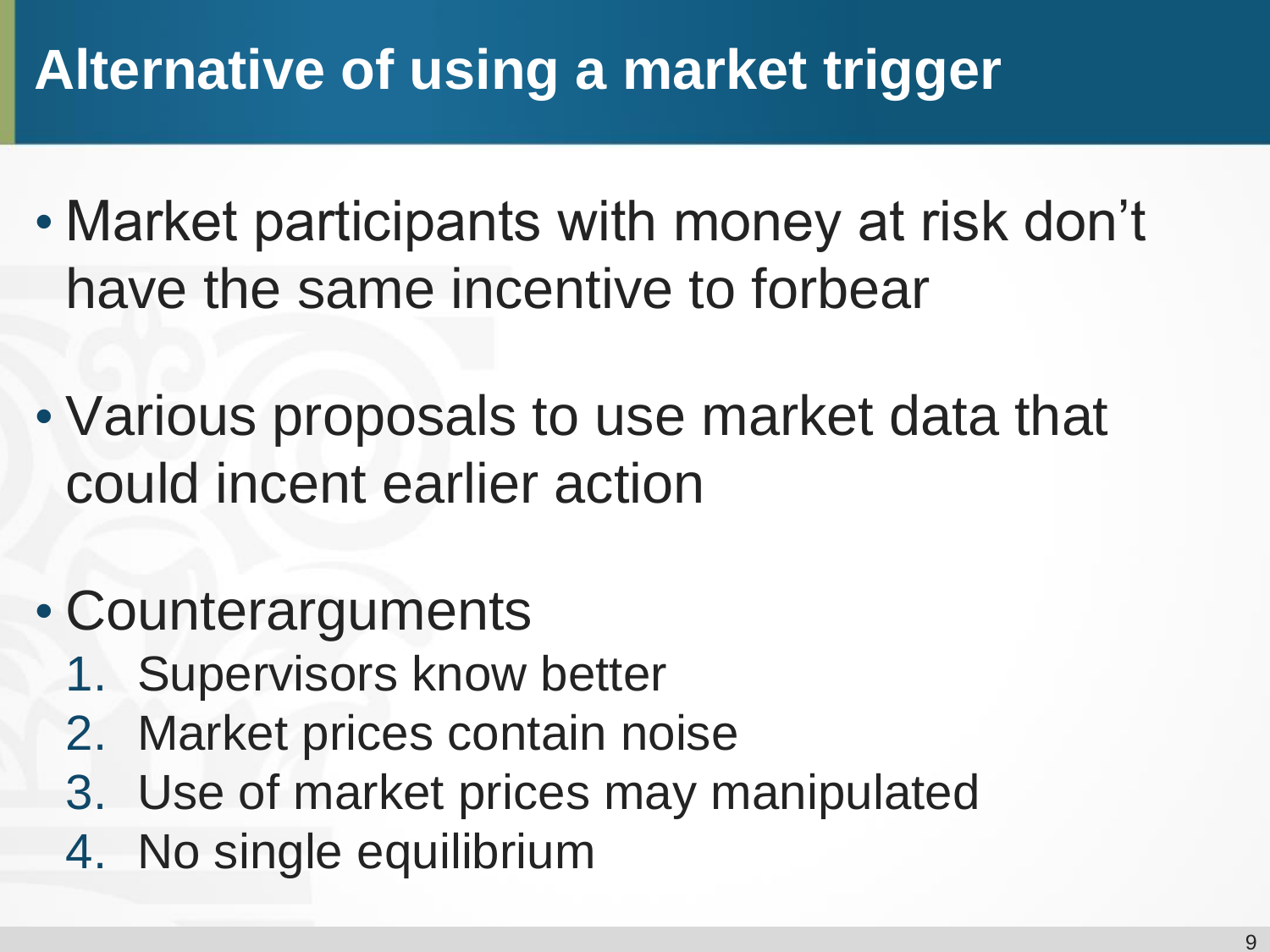## **Alternative of using a market trigger**

- Market participants with money at risk don't have the same incentive to forbear
- Various proposals to use market data that could incent earlier action
- Counterarguments
	- 1. Supervisors know better
	- 2. Market prices contain noise
	- 3. Use of market prices may manipulated
	- 4. No single equilibrium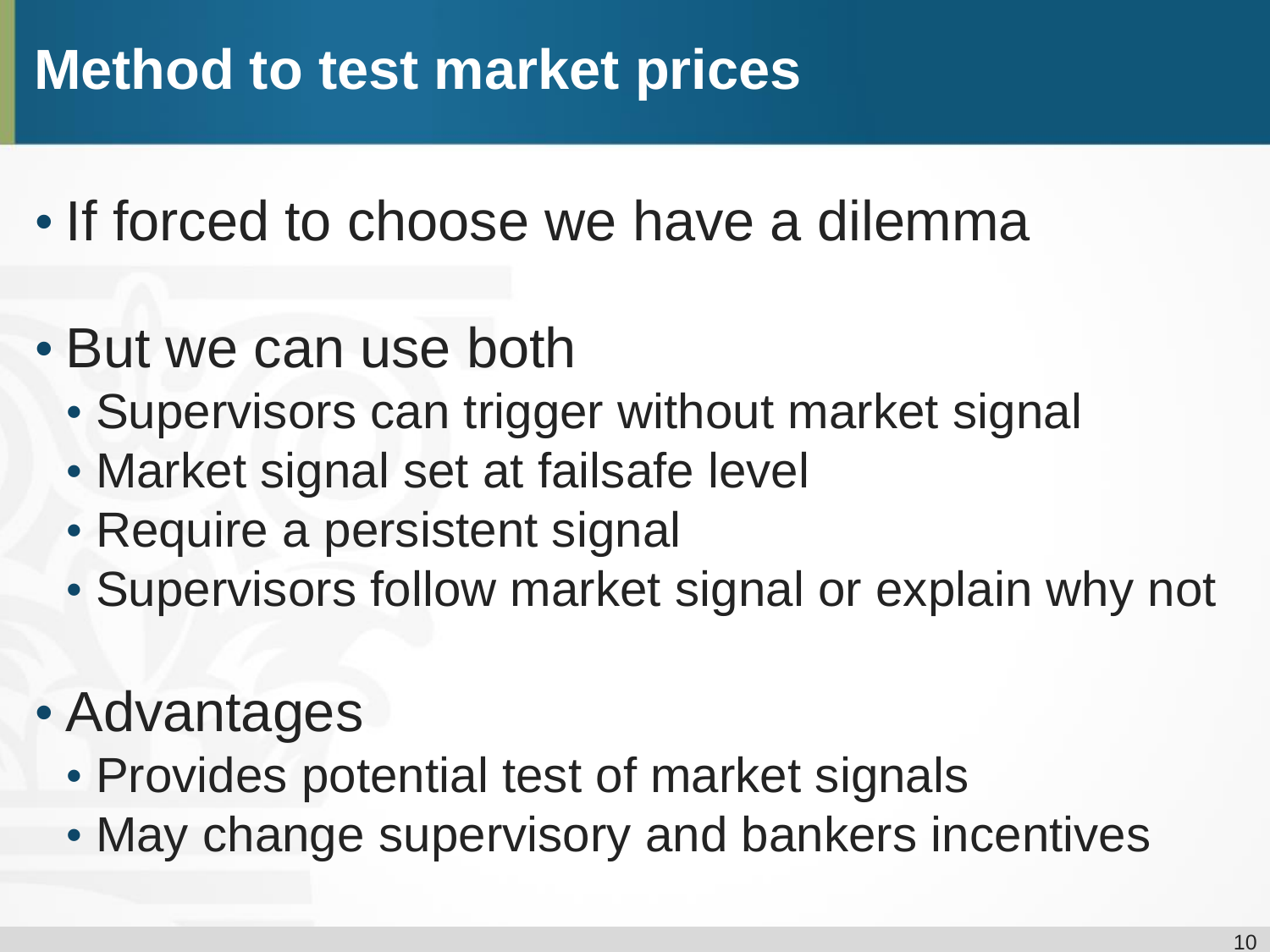#### **Method to test market prices**

- If forced to choose we have a dilemma
- But we can use both
	- Supervisors can trigger without market signal
	- Market signal set at failsafe level
	- Require a persistent signal
	- Supervisors follow market signal or explain why not
- Advantages
	- Provides potential test of market signals
	- May change supervisory and bankers incentives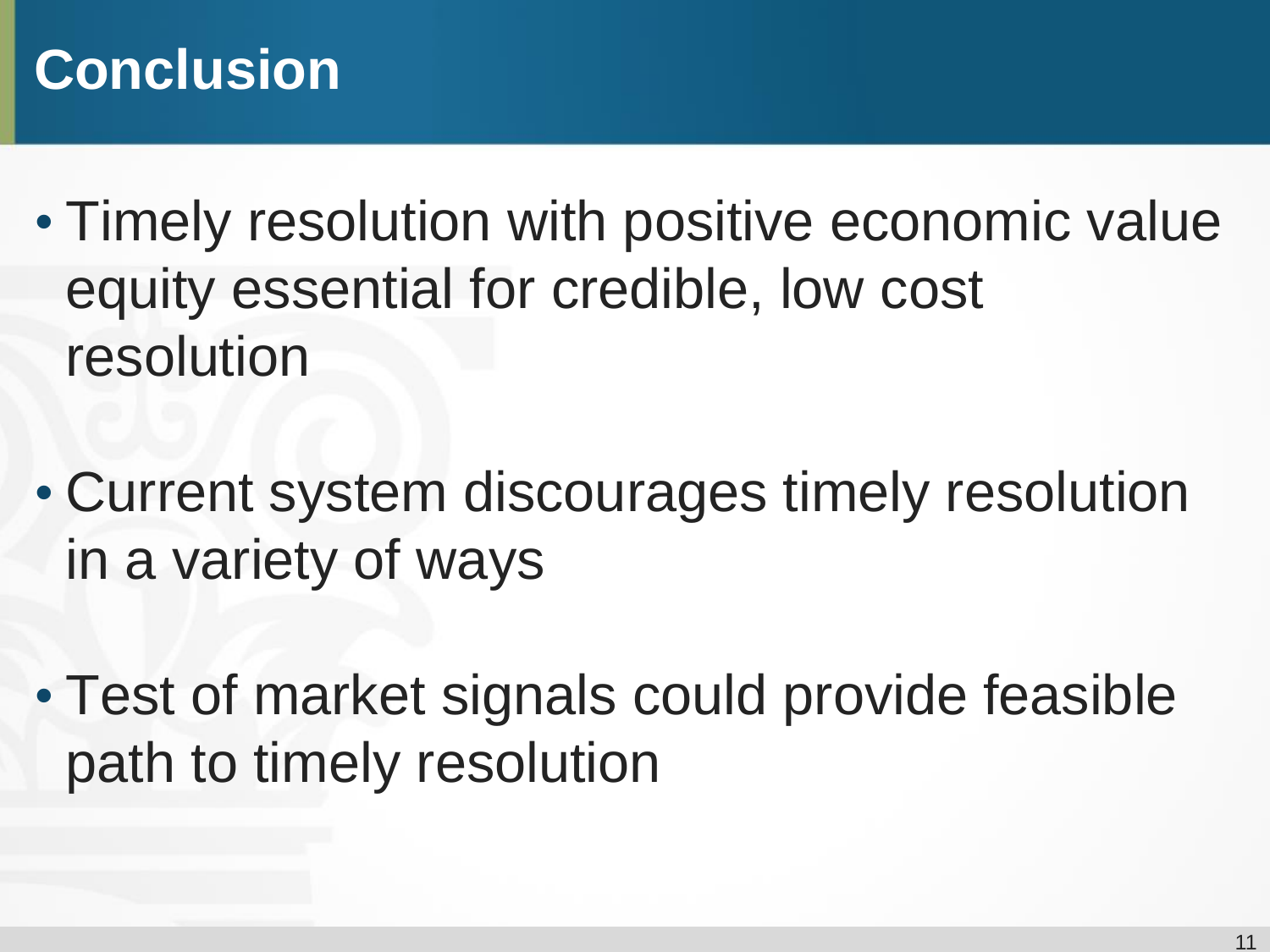### **Conclusion**

- Timely resolution with positive economic value equity essential for credible, low cost resolution
- Current system discourages timely resolution in a variety of ways
- Test of market signals could provide feasible path to timely resolution